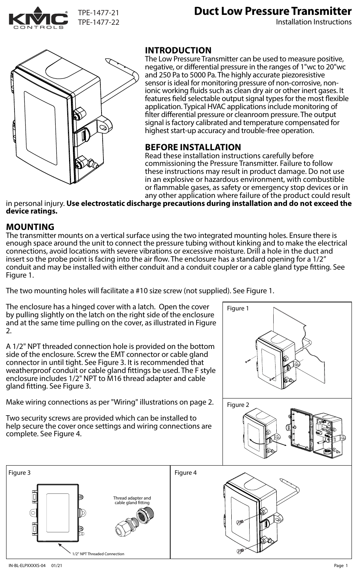

# **Duct Low Pressure Transmitter**

Installation Instructions



### **INTRODUCTION**

The Low Pressure Transmitter can be used to measure positive, negative, or differential pressure in the ranges of 1"wc to 20"wc and 250 Pa to 5000 Pa. The highly accurate piezoresistive sensor is ideal for monitoring pressure of non-corrosive, nonionic working fluids such as clean dry air or other inert gases. It features field selectable output signal types for the most flexible application. Typical HVAC applications include monitoring of filter differential pressure or cleanroom pressure. The output signal is factory calibrated and temperature compensated for highest start-up accuracy and trouble-free operation.

#### **BEFORE INSTALLATION**

Read these installation instructions carefully before commissioning the Pressure Transmitter. Failure to follow these instructions may result in product damage. Do not use in an explosive or hazardous environment, with combustible or flammable gases, as safety or emergency stop devices or in any other application where failure of the product could result

in personal injury. **Use electrostatic discharge precautions during installation and do not exceed the device ratings.**

#### **MOUNTING**

The transmitter mounts on a vertical surface using the two integrated mounting holes. Ensure there is enough space around the unit to connect the pressure tubing without kinking and to make the electrical connections, avoid locations with severe vibrations or excessive moisture. Drill a hole in the duct and insert so the probe point is facing into the air flow. The enclosure has a standard opening for a  $1/2$ " conduit and may be installed with either conduit and a conduit coupler or a cable gland type tting. See Figure 1.

The two mounting holes will facilitate a #10 size screw (not supplied). See Figure 1.

The enclosure has a hinged cover with a latch. Open the cover by pulling slightly on the latch on the right side of the enclosure and at the same time pulling on the cover, as illustrated in Figure 2.

A 1/2" NPT threaded connection hole is provided on the bottom side of the enclosure. Screw the EMT connector or cable gland connector in until tight. See Figure 3. It is recommended that weatherproof conduit or cable gland fittings be used. The F style enclosure includes 1/2" NPT to M16 thread adapter and cable gland fitting. See Figure 3.

Make wiring connections as per "Wiring" illustrations on page 2.

Two security screws are provided which can be installed to help secure the cover once settings and wiring connections are complete. See Figure 4.

Figure 3 **Figure 4** Figure 4

1/2" NPT Threaded Connection

Thread adapter and cable gland fitting



6

Ō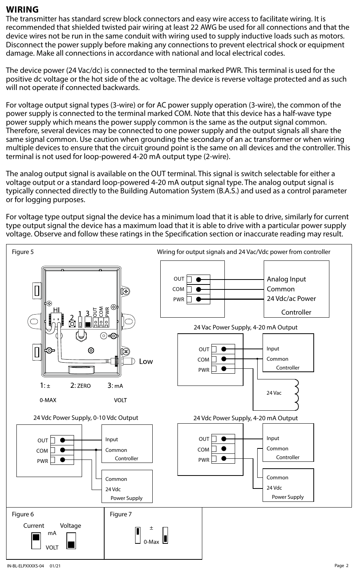#### **WIRING**

The transmitter has standard screw block connectors and easy wire access to facilitate wiring. It is recommended that shielded twisted pair wiring at least 22 AWG be used for all connections and that the device wires not be run in the same conduit with wiring used to supply inductive loads such as motors. Disconnect the power supply before making any connections to prevent electrical shock or equipment damage. Make all connections in accordance with national and local electrical codes.

The device power (24 Vac/dc) is connected to the terminal marked PWR. This terminal is used for the positive dc voltage or the hot side of the ac voltage. The device is reverse voltage protected and as such will not operate if connected backwards.

For voltage output signal types (3-wire) or for AC power supply operation (3-wire), the common of the power supply is connected to the terminal marked COM. Note that this device has a half-wave type power supply which means the power supply common is the same as the output signal common. Therefore, several devices may be connected to one power supply and the output signals all share the same signal common. Use caution when grounding the secondary of an ac transformer or when wiring multiple devices to ensure that the circuit ground point is the same on all devices and the controller. This terminal is not used for loop-powered 4-20 mA output type (2-wire).

The analog output signal is available on the OUT terminal. This signal is switch selectable for either a voltage output or a standard loop-powered 4-20 mA output signal type. The analog output signal is typically connected directly to the Building Automation System (B.A.S.) and used as a control parameter or for logging purposes.

For voltage type output signal the device has a minimum load that it is able to drive, similarly for current type output signal the device has a maximum load that it is able to drive with a particular power supply voltage. Observe and follow these ratings in the Specification section or inaccurate reading may result.

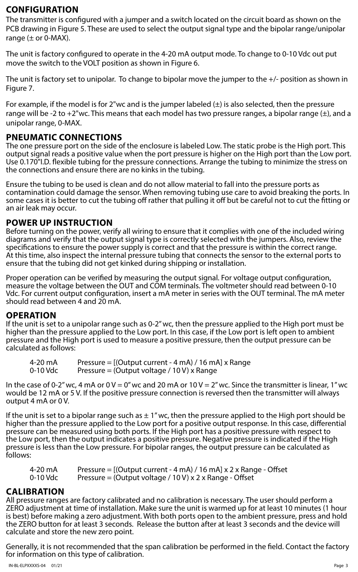#### **CONFIGURATION**

The transmitter is configured with a jumper and a switch located on the circuit board as shown on the PCB drawing in Figure 5. These are used to select the output signal type and the bipolar range/unipolar range  $(\pm$  or 0-MAX).

The unit is factory configured to operate in the 4-20 mA output mode. To change to 0-10 Vdc out put move the switch to the VOLT position as shown in Figure 6.

The unit is factory set to unipolar. To change to bipolar move the jumper to the +/- position as shown in Figure 7.

For example, if the model is for 2"wc and is the jumper labeled  $(\pm)$  is also selected, then the pressure range will be -2 to +2"wc. This means that each model has two pressure ranges, a bipolar range  $(\pm)$ , and a unipolar range, 0-MAX.

### **PNEUMATIC CONNECTIONS**

The one pressure port on the side of the enclosure is labeled Low. The static probe is the High port. This output signal reads a positive value when the port pressure is higher on the High port than the Low port. Use 0.170"I.D. flexible tubing for the pressure connections. Arrange the tubing to minimize the stress on the connections and ensure there are no kinks in the tubing.

Ensure the tubing to be used is clean and do not allow material to fall into the pressure ports as contamination could damage the sensor. When removing tubing use care to avoid breaking the ports. In some cases it is better to cut the tubing off rather that pulling it off but be careful not to cut the fitting or an air leak may occur.

#### **POWER UP INSTRUCTION**

Before turning on the power, verify all wiring to ensure that it complies with one of the included wiring diagrams and verify that the output signal type is correctly selected with the jumpers. Also, review the specifications to ensure the power supply is correct and that the pressure is within the correct range. At this time, also inspect the internal pressure tubing that connects the sensor to the external ports to ensure that the tubing did not get kinked during shipping or installation.

Proper operation can be verified by measuring the output signal. For voltage output configuration, measure the voltage between the OUT and COM terminals. The voltmeter should read between 0-10 Vdc. For current output configuration, insert a mA meter in series with the OUT terminal. The mA meter should read between 4 and 20 mA.

## **OPERATION**

If the unit is set to a unipolar range such as 0-2" wc, then the pressure applied to the High port must be higher than the pressure applied to the Low port. In this case, if the Low port is left open to ambient pressure and the High port is used to measure a positive pressure, then the output pressure can be calculated as follows:

| 4-20 mA  | Pressure = $[(Output$ current - 4 mA $)$ / 16 mA $]$ x Range |
|----------|--------------------------------------------------------------|
| 0-10 Vdc | Pressure = (Output voltage / 10 V) x Range                   |

In the case of 0-2" wc, 4 mA or  $0 V = 0$ " wc and 20 mA or  $10 V = 2$ " wc. Since the transmitter is linear, 1" wc would be 12 mA or 5 V. If the positive pressure connection is reversed then the transmitter will always output 4 mA or 0 V.

If the unit is set to a bipolar range such as  $\pm 1$ " wc, then the pressure applied to the High port should be higher than the pressure applied to the Low port for a positive output response. In this case, differential pressure can be measured using both ports. If the High port has a positive pressure with respect to the Low port, then the output indicates a positive pressure. Negative pressure is indicated if the High pressure is less than the Low pressure. For bipolar ranges, the output pressure can be calculated as follows:

| 4-20 mA  | Pressure = $[(Output$ current - 4 mA $)$ / 16 mA $]$ x 2 x Range - Offset |
|----------|---------------------------------------------------------------------------|
| 0-10 Vdc | Pressure = (Output voltage / 10 V) x 2 x Range - Offset                   |

#### **CALIBRATION**

All pressure ranges are factory calibrated and no calibration is necessary. The user should perform a ZERO adjustment at time of installation. Make sure the unit is warmed up for at least 10 minutes (1 hour is best) before making a zero adjustment. With both ports open to the ambient pressure, press and hold the ZERO button for at least 3 seconds. Release the button after at least 3 seconds and the device will calculate and store the new zero point.

Generally, it is not recommended that the span calibration be performed in the field. Contact the factory for information on this type of calibration.